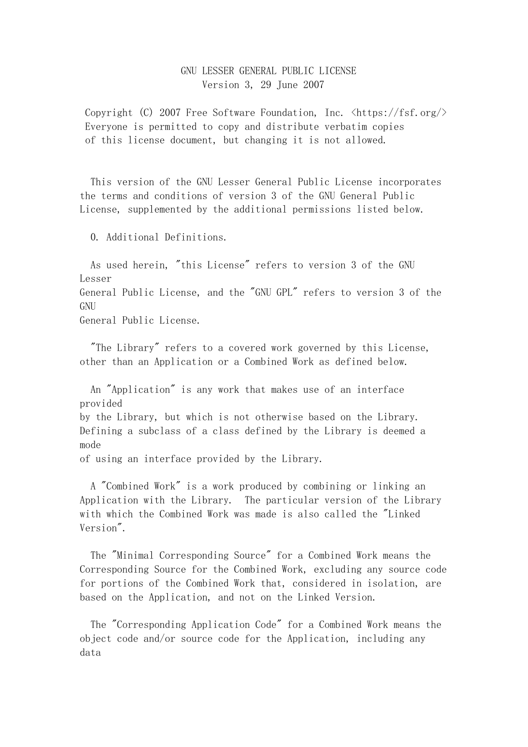## GNU LESSER GENERAL PUBLIC LICENSE Version 3, 29 June 2007

Copyright (C) 2007 Free Software Foundation, Inc.  $\langle \text{https://fsf.org/}\rangle$ Everyone is permitted to copy and distribute verbatim copies of this license document, but changing it is not allowed.

 This version of the GNU Lesser General Public License incorporates the terms and conditions of version 3 of the GNU General Public License, supplemented by the additional permissions listed below.

0. Additional Definitions.

 As used herein, "this License" refers to version 3 of the GNU Lesser General Public License, and the "GNU GPL" refers to version 3 of the GNU General Public License.

 "The Library" refers to a covered work governed by this License, other than an Application or a Combined Work as defined below.

 An "Application" is any work that makes use of an interface provided by the Library, but which is not otherwise based on the Library. Defining a subclass of a class defined by the Library is deemed a mode of using an interface provided by the Library.

 A "Combined Work" is a work produced by combining or linking an Application with the Library. The particular version of the Library with which the Combined Work was made is also called the "Linked Version".

 The "Minimal Corresponding Source" for a Combined Work means the Corresponding Source for the Combined Work, excluding any source code for portions of the Combined Work that, considered in isolation, are based on the Application, and not on the Linked Version.

 The "Corresponding Application Code" for a Combined Work means the object code and/or source code for the Application, including any data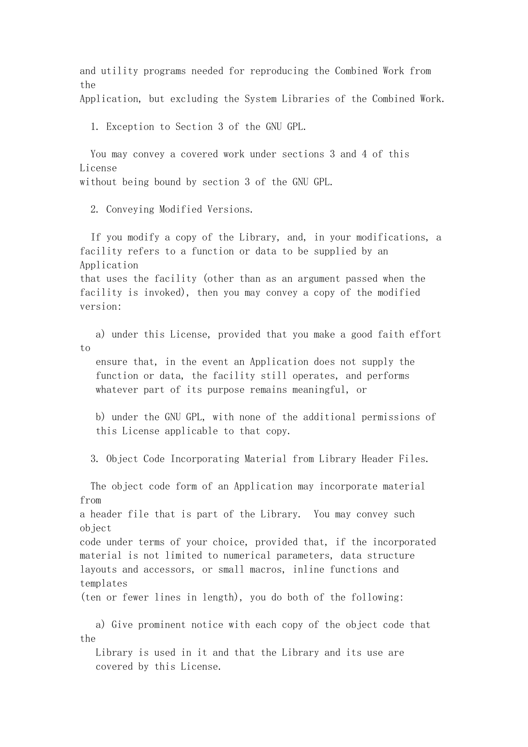and utility programs needed for reproducing the Combined Work from the

Application, but excluding the System Libraries of the Combined Work.

1. Exception to Section 3 of the GNU GPL.

 You may convey a covered work under sections 3 and 4 of this License without being bound by section 3 of the GNU GPL.

2. Conveying Modified Versions.

 If you modify a copy of the Library, and, in your modifications, a facility refers to a function or data to be supplied by an Application that uses the facility (other than as an argument passed when the facility is invoked), then you may convey a copy of the modified version:

 a) under this License, provided that you make a good faith effort to

 ensure that, in the event an Application does not supply the function or data, the facility still operates, and performs whatever part of its purpose remains meaningful, or

 b) under the GNU GPL, with none of the additional permissions of this License applicable to that copy.

3. Object Code Incorporating Material from Library Header Files.

 The object code form of an Application may incorporate material from a header file that is part of the Library. You may convey such ob *iect* code under terms of your choice, provided that, if the incorporated material is not limited to numerical parameters, data structure layouts and accessors, or small macros, inline functions and templates (ten or fewer lines in length), you do both of the following: a) Give prominent notice with each copy of the object code that the

 Library is used in it and that the Library and its use are covered by this License.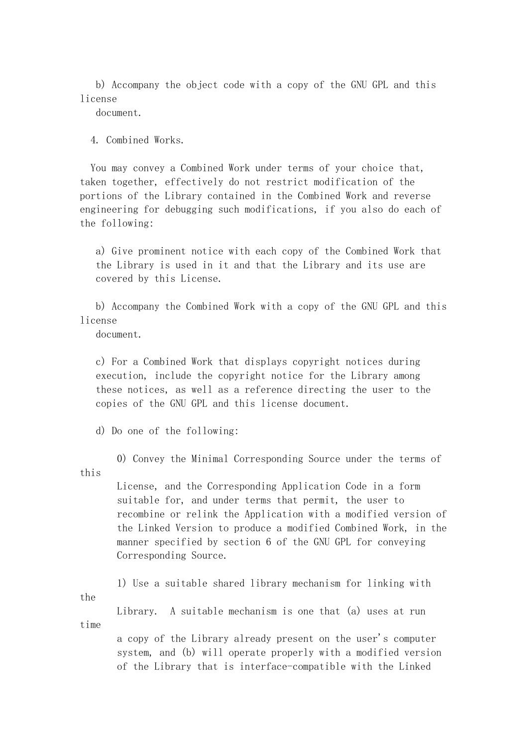b) Accompany the object code with a copy of the GNU GPL and this license

document.

4. Combined Works.

 You may convey a Combined Work under terms of your choice that, taken together, effectively do not restrict modification of the portions of the Library contained in the Combined Work and reverse engineering for debugging such modifications, if you also do each of the following:

 a) Give prominent notice with each copy of the Combined Work that the Library is used in it and that the Library and its use are covered by this License.

 b) Accompany the Combined Work with a copy of the GNU GPL and this license

document.

 c) For a Combined Work that displays copyright notices during execution, include the copyright notice for the Library among these notices, as well as a reference directing the user to the copies of the GNU GPL and this license document.

d) Do one of the following:

 0) Convey the Minimal Corresponding Source under the terms of this

> License, and the Corresponding Application Code in a form suitable for, and under terms that permit, the user to recombine or relink the Application with a modified version of the Linked Version to produce a modified Combined Work, in the manner specified by section 6 of the GNU GPL for conveying Corresponding Source.

 1) Use a suitable shared library mechanism for linking with the

 Library. A suitable mechanism is one that (a) uses at run time

> a copy of the Library already present on the user's computer system, and (b) will operate properly with a modified version of the Library that is interface-compatible with the Linked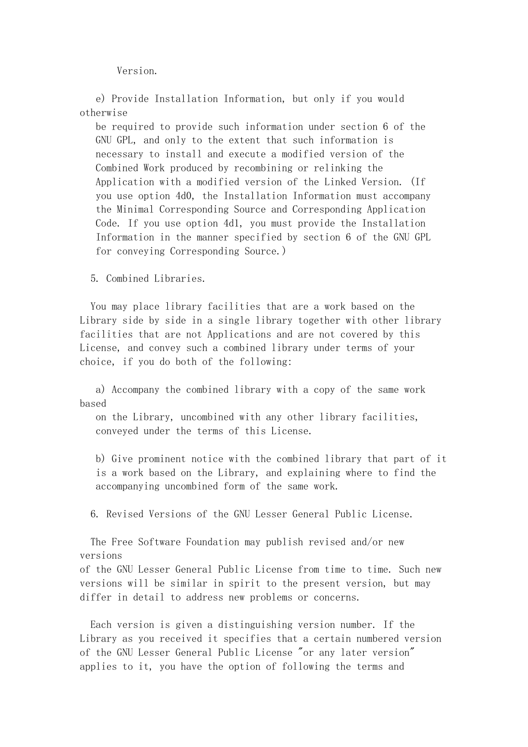Version.

 e) Provide Installation Information, but only if you would otherwise

 be required to provide such information under section 6 of the GNU GPL, and only to the extent that such information is necessary to install and execute a modified version of the Combined Work produced by recombining or relinking the Application with a modified version of the Linked Version. (If you use option 4d0, the Installation Information must accompany the Minimal Corresponding Source and Corresponding Application Code. If you use option 4d1, you must provide the Installation Information in the manner specified by section 6 of the GNU GPL for conveying Corresponding Source.)

5. Combined Libraries.

 You may place library facilities that are a work based on the Library side by side in a single library together with other library facilities that are not Applications and are not covered by this License, and convey such a combined library under terms of your choice, if you do both of the following:

 a) Accompany the combined library with a copy of the same work based

 on the Library, uncombined with any other library facilities, conveyed under the terms of this License.

 b) Give prominent notice with the combined library that part of it is a work based on the Library, and explaining where to find the accompanying uncombined form of the same work.

6. Revised Versions of the GNU Lesser General Public License.

 The Free Software Foundation may publish revised and/or new versions

of the GNU Lesser General Public License from time to time. Such new versions will be similar in spirit to the present version, but may differ in detail to address new problems or concerns.

 Each version is given a distinguishing version number. If the Library as you received it specifies that a certain numbered version of the GNU Lesser General Public License "or any later version" applies to it, you have the option of following the terms and